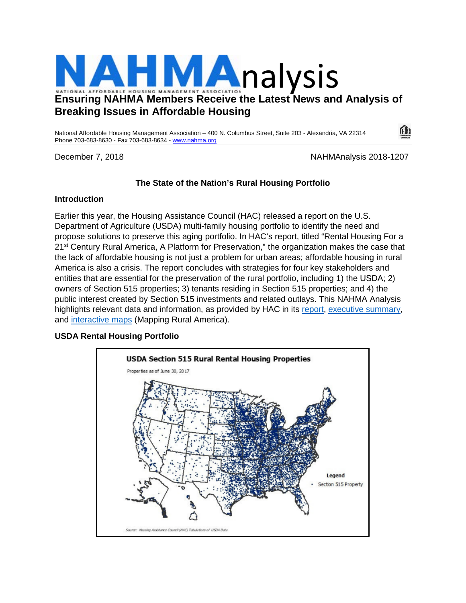

National Affordable Housing Management Association – 400 N. Columbus Street, Suite 203 - Alexandria, VA 22314 Phone 703-683-8630 - Fax 703-683-8634 - [www.nahma.org](http://www.nahma.org/)

December 7, 2018 NAHMAnalysis 2018-1207

# **The State of the Nation's Rural Housing Portfolio**

### **Introduction**

Earlier this year, the Housing Assistance Council (HAC) released a report on the U.S. Department of Agriculture (USDA) multi-family housing portfolio to identify the need and propose solutions to preserve this aging portfolio. In HAC's report, titled "Rental Housing For a 21<sup>st</sup> Century Rural America, A Platform for Preservation," the organization makes the case that the lack of affordable housing is not just a problem for urban areas; affordable housing in rural America is also a crisis. The report concludes with strategies for four key stakeholders and entities that are essential for the preservation of the rural portfolio, including 1) the USDA; 2) owners of Section 515 properties; 3) tenants residing in Section 515 properties; and 4) the public interest created by Section 515 investments and related outlays. This NAHMA Analysis highlights relevant data and information, as provided by HAC in its [report,](http://www.ruralhome.org/storage/documents/publications/rrreports/HAC_A_PLATFORM_FOR_PRESERVATION.pdf) [executive summary,](http://www.ruralhome.org/storage/documents/publications/rrreports/A_Platform_For_Preservation_EXECUTIVE%20SUMMARY.pdf) and [interactive maps](http://hac.maps.arcgis.com/home/webmap/viewer.html?webmap=362d12b9a06b41b1a7d76260ddd9fb00&extent=-126.6724,22.4528,-61.7651,51.9315) (Mapping Rural America).

## **USDA Rental Housing Portfolio**

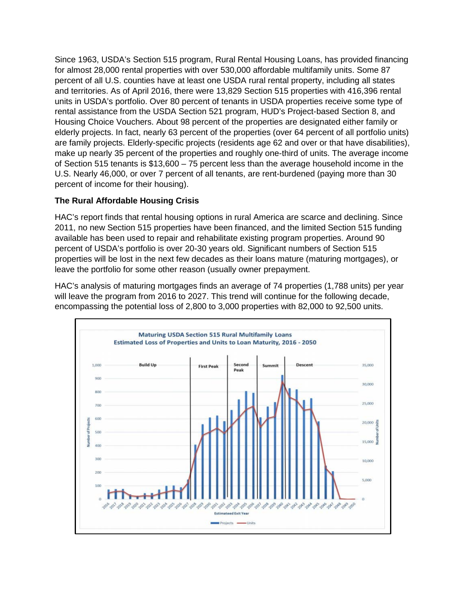Since 1963, USDA's Section 515 program, Rural Rental Housing Loans, has provided financing for almost 28,000 rental properties with over 530,000 affordable multifamily units. Some 87 percent of all U.S. counties have at least one USDA rural rental property, including all states and territories. As of April 2016, there were 13,829 Section 515 properties with 416,396 rental units in USDA's portfolio. Over 80 percent of tenants in USDA properties receive some type of rental assistance from the USDA Section 521 program, HUD's Project-based Section 8, and Housing Choice Vouchers. About 98 percent of the properties are designated either family or elderly projects. In fact, nearly 63 percent of the properties (over 64 percent of all portfolio units) are family projects. Elderly-specific projects (residents age 62 and over or that have disabilities), make up nearly 35 percent of the properties and roughly one-third of units. The average income of Section 515 tenants is \$13,600 – 75 percent less than the average household income in the U.S. Nearly 46,000, or over 7 percent of all tenants, are rent-burdened (paying more than 30 percent of income for their housing).

## **The Rural Affordable Housing Crisis**

HAC's report finds that rental housing options in rural America are scarce and declining. Since 2011, no new Section 515 properties have been financed, and the limited Section 515 funding available has been used to repair and rehabilitate existing program properties. Around 90 percent of USDA's portfolio is over 20-30 years old. Significant numbers of Section 515 properties will be lost in the next few decades as their loans mature (maturing mortgages), or leave the portfolio for some other reason (usually owner prepayment.

HAC's analysis of maturing mortgages finds an average of 74 properties (1,788 units) per year will leave the program from 2016 to 2027. This trend will continue for the following decade, encompassing the potential loss of 2,800 to 3,000 properties with 82,000 to 92,500 units.